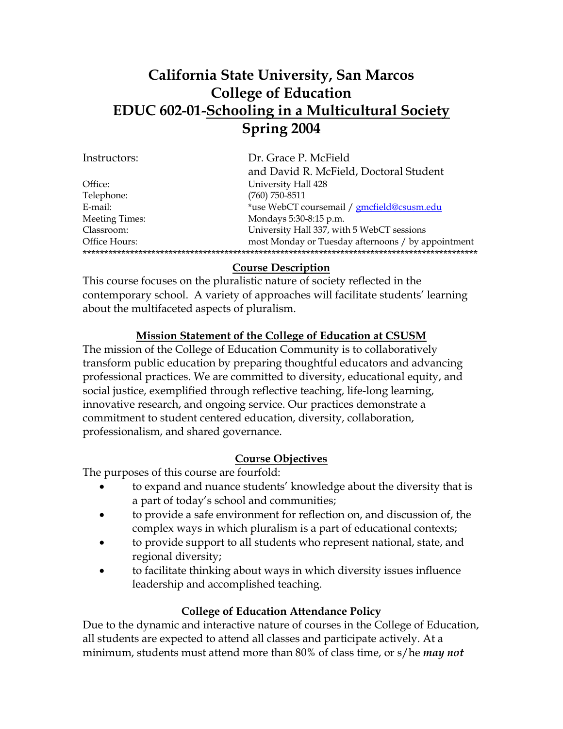# **California State University, San Marcos College of Education EDUC 602-01-Schooling in a Multicultural Society Spring 2004**

| Dr. Grace P. McField                               |
|----------------------------------------------------|
| and David R. McField, Doctoral Student             |
| University Hall 428                                |
| $(760)$ 750-8511                                   |
| *use WebCT coursemail / gmcfield@csusm.edu         |
| Mondays 5:30-8:15 p.m.                             |
| University Hall 337, with 5 WebCT sessions         |
| most Monday or Tuesday afternoons / by appointment |
|                                                    |
|                                                    |

### **Course Description**

This course focuses on the pluralistic nature of society reflected in the contemporary school. A variety of approaches will facilitate students' learning about the multifaceted aspects of pluralism.

#### **Mission Statement of the College of Education at CSUSM**

The mission of the College of Education Community is to collaboratively transform public education by preparing thoughtful educators and advancing professional practices. We are committed to diversity, educational equity, and social justice, exemplified through reflective teaching, life-long learning, innovative research, and ongoing service. Our practices demonstrate a commitment to student centered education, diversity, collaboration, professionalism, and shared governance.

### **Course Objectives**

The purposes of this course are fourfold:

- to expand and nuance students' knowledge about the diversity that is a part of today's school and communities;
- to provide a safe environment for reflection on, and discussion of, the complex ways in which pluralism is a part of educational contexts;
- to provide support to all students who represent national, state, and regional diversity;
- to facilitate thinking about ways in which diversity issues influence leadership and accomplished teaching.

#### **College of Education Attendance Policy**

Due to the dynamic and interactive nature of courses in the College of Education, all students are expected to attend all classes and participate actively. At a minimum, students must attend more than 80% of class time, or s/he *may not*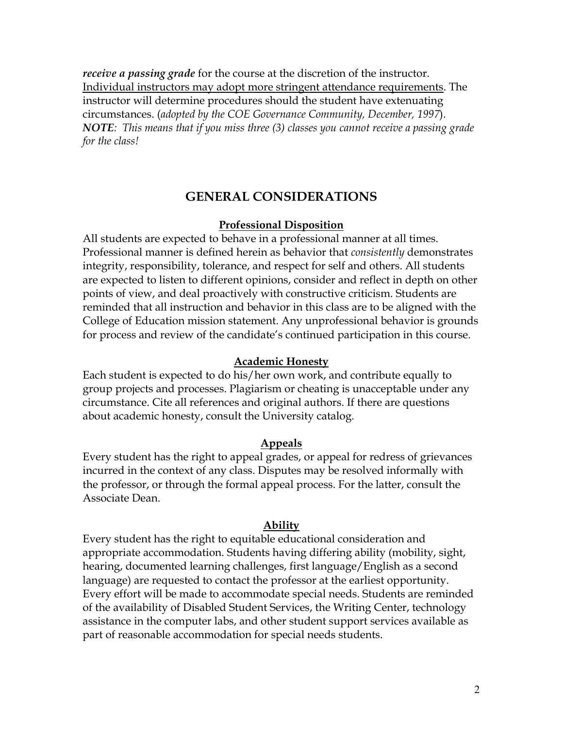*receive a passing grade* for the course at the discretion of the instructor. Individual instructors may adopt more stringent attendance requirements. The instructor will determine procedures should the student have extenuating circumstances. (*adopted by the COE Governance Community, December, 1997*). *NOTE: This means that if you miss three (3) classes you cannot receive a passing grade for the class!*

### **GENERAL CONSIDERATIONS**

#### **Professional Disposition**

All students are expected to behave in a professional manner at all times. Professional manner is defined herein as behavior that *consistently* demonstrates integrity, responsibility, tolerance, and respect for self and others. All students are expected to listen to different opinions, consider and reflect in depth on other points of view, and deal proactively with constructive criticism. Students are reminded that all instruction and behavior in this class are to be aligned with the College of Education mission statement. Any unprofessional behavior is grounds for process and review of the candidate's continued participation in this course.

#### **Academic Honesty**

Each student is expected to do his/her own work, and contribute equally to group projects and processes. Plagiarism or cheating is unacceptable under any circumstance. Cite all references and original authors. If there are questions about academic honesty, consult the University catalog.

#### **Appeals**

Every student has the right to appeal grades, or appeal for redress of grievances incurred in the context of any class. Disputes may be resolved informally with the professor, or through the formal appeal process. For the latter, consult the Associate Dean.

#### **Ability**

Every student has the right to equitable educational consideration and appropriate accommodation. Students having differing ability (mobility, sight, hearing, documented learning challenges, first language/English as a second language) are requested to contact the professor at the earliest opportunity. Every effort will be made to accommodate special needs. Students are reminded of the availability of Disabled Student Services, the Writing Center, technology assistance in the computer labs, and other student support services available as part of reasonable accommodation for special needs students.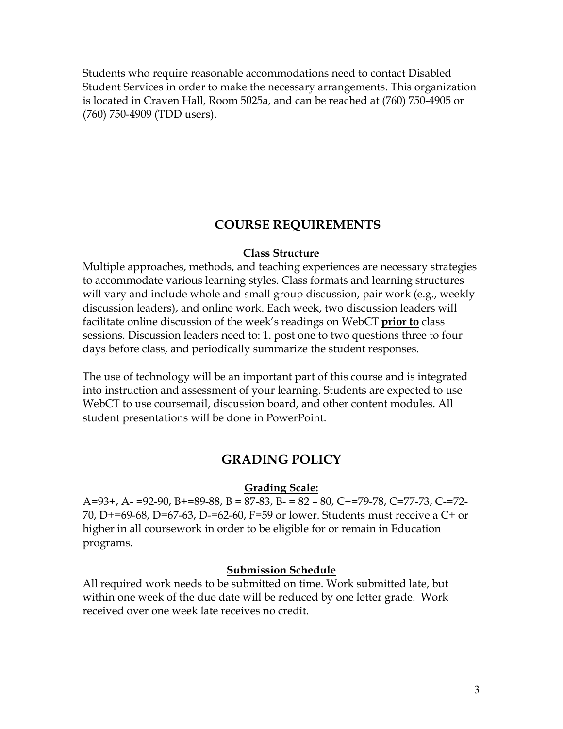Students who require reasonable accommodations need to contact Disabled Student Services in order to make the necessary arrangements. This organization is located in Craven Hall, Room 5025a, and can be reached at (760) 750-4905 or (760) 750-4909 (TDD users).

## **COURSE REQUIREMENTS**

#### **Class Structure**

Multiple approaches, methods, and teaching experiences are necessary strategies to accommodate various learning styles. Class formats and learning structures will vary and include whole and small group discussion, pair work (e.g., weekly discussion leaders), and online work. Each week, two discussion leaders will facilitate online discussion of the week's readings on WebCT **prior to** class sessions. Discussion leaders need to: 1. post one to two questions three to four days before class, and periodically summarize the student responses.

The use of technology will be an important part of this course and is integrated into instruction and assessment of your learning. Students are expected to use WebCT to use coursemail, discussion board, and other content modules. All student presentations will be done in PowerPoint.

## **GRADING POLICY**

#### **Grading Scale:**

A=93+, A- =92-90, B+=89-88, B = 87-83, B- = 82 – 80, C+=79-78, C=77-73, C-=72- 70, D+=69-68, D=67-63, D-=62-60, F=59 or lower. Students must receive a C+ or higher in all coursework in order to be eligible for or remain in Education programs.

#### **Submission Schedule**

All required work needs to be submitted on time. Work submitted late, but within one week of the due date will be reduced by one letter grade. Work received over one week late receives no credit.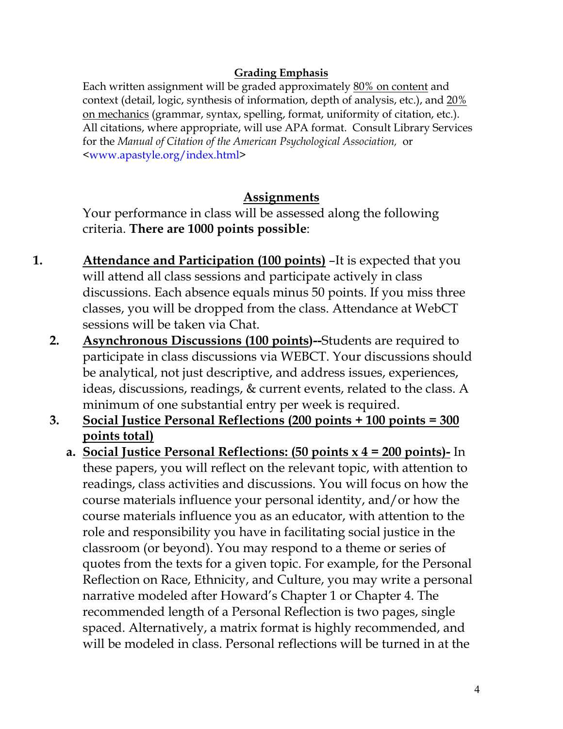## **Grading Emphasis**

Each written assignment will be graded approximately 80% on content and context (detail, logic, synthesis of information, depth of analysis, etc.), and 20% on mechanics (grammar, syntax, spelling, format, uniformity of citation, etc.). All citations, where appropriate, will use APA format. Consult Library Services for the *Manual of Citation of the American Psychological Association,* or <www.apastyle.org/index.html>

# **Assignments**

Your performance in class will be assessed along the following criteria. **There are 1000 points possible**:

- **1. Attendance and Participation (100 points)** –It is expected that you will attend all class sessions and participate actively in class discussions. Each absence equals minus 50 points. If you miss three classes, you will be dropped from the class. Attendance at WebCT sessions will be taken via Chat.
	- **2. Asynchronous Discussions (100 points)--**Students are required to participate in class discussions via WEBCT. Your discussions should be analytical, not just descriptive, and address issues, experiences, ideas, discussions, readings, & current events, related to the class. A minimum of one substantial entry per week is required.
	- **3. Social Justice Personal Reflections (200 points + 100 points = 300 points total)**
		- **a. Social Justice Personal Reflections: (50 points x 4 = 200 points)-** In these papers, you will reflect on the relevant topic, with attention to readings, class activities and discussions. You will focus on how the course materials influence your personal identity, and/or how the course materials influence you as an educator, with attention to the role and responsibility you have in facilitating social justice in the classroom (or beyond). You may respond to a theme or series of quotes from the texts for a given topic. For example, for the Personal Reflection on Race, Ethnicity, and Culture, you may write a personal narrative modeled after Howard's Chapter 1 or Chapter 4. The recommended length of a Personal Reflection is two pages, single spaced. Alternatively, a matrix format is highly recommended, and will be modeled in class. Personal reflections will be turned in at the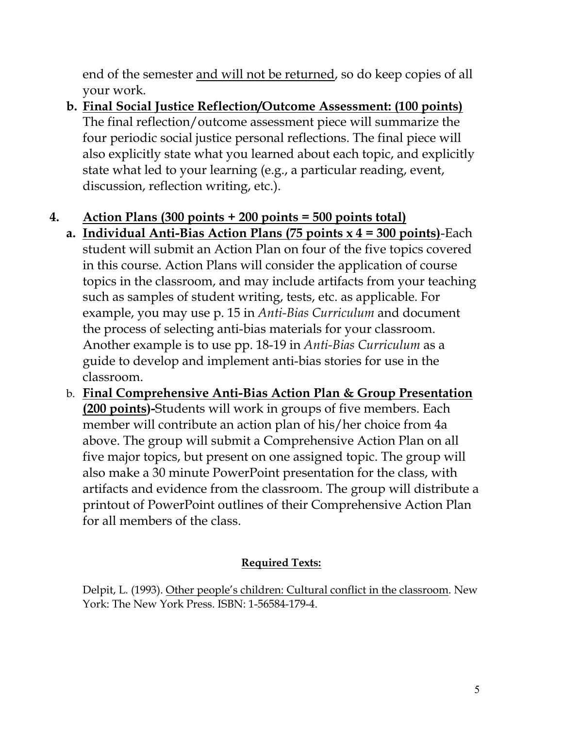end of the semester and will not be returned, so do keep copies of all your work.

**b. Final Social Justice Reflection/Outcome Assessment: (100 points)** The final reflection/outcome assessment piece will summarize the four periodic social justice personal reflections. The final piece will also explicitly state what you learned about each topic, and explicitly state what led to your learning (e.g., a particular reading, event, discussion, reflection writing, etc.).

# **4. Action Plans (300 points + 200 points = 500 points total)**

- **a. Individual Anti-Bias Action Plans (75 points x 4 = 300 points)**-Each student will submit an Action Plan on four of the five topics covered in this course. Action Plans will consider the application of course topics in the classroom, and may include artifacts from your teaching such as samples of student writing, tests, etc. as applicable. For example, you may use p. 15 in *Anti-Bias Curriculum* and document the process of selecting anti-bias materials for your classroom. Another example is to use pp. 18-19 in *Anti-Bias Curriculum* as a guide to develop and implement anti-bias stories for use in the classroom.
- b. **Final Comprehensive Anti-Bias Action Plan & Group Presentation (200 points)-**Students will work in groups of five members. Each member will contribute an action plan of his/her choice from 4a above. The group will submit a Comprehensive Action Plan on all five major topics, but present on one assigned topic. The group will also make a 30 minute PowerPoint presentation for the class, with artifacts and evidence from the classroom. The group will distribute a printout of PowerPoint outlines of their Comprehensive Action Plan for all members of the class.

# **Required Texts:**

Delpit, L. (1993). Other people's children: Cultural conflict in the classroom. New York: The New York Press. ISBN: 1-56584-179-4.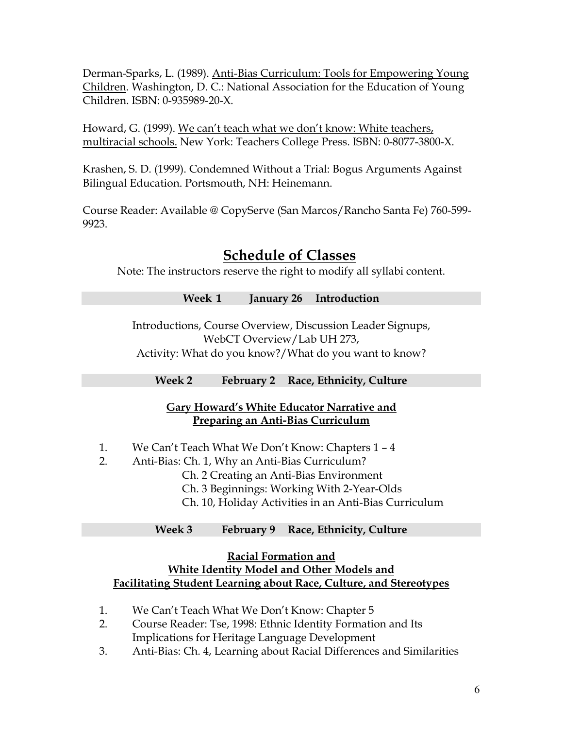Derman-Sparks, L. (1989). Anti-Bias Curriculum: Tools for Empowering Young Children. Washington, D. C.: National Association for the Education of Young Children. ISBN: 0-935989-20-X.

Howard, G. (1999). We can't teach what we don't know: White teachers, multiracial schools. New York: Teachers College Press. ISBN: 0-8077-3800-X.

Krashen, S. D. (1999). Condemned Without a Trial: Bogus Arguments Against Bilingual Education. Portsmouth, NH: Heinemann.

Course Reader: Available @ CopyServe (San Marcos/Rancho Santa Fe) 760-599- 9923.

# **Schedule of Classes**

Note: The instructors reserve the right to modify all syllabi content.

|  | Week 1 January 26 Introduction                            |  |
|--|-----------------------------------------------------------|--|
|  |                                                           |  |
|  | Interactional Course Organizers Discussion Loader Circums |  |

Introductions, Course Overview, Discussion Leader Signups, WebCT Overview/Lab UH 273, Activity: What do you know?/What do you want to know?

**Week 2 February 2 Race, Ethnicity, Culture** 

### **Gary Howard's White Educator Narrative and Preparing an Anti-Bias Curriculum**

- 1. We Can't Teach What We Don't Know: Chapters 1 4
- 2. Anti-Bias: Ch. 1, Why an Anti-Bias Curriculum?
	- Ch. 2 Creating an Anti-Bias Environment
	- Ch. 3 Beginnings: Working With 2-Year-Olds
	- Ch. 10, Holiday Activities in an Anti-Bias Curriculum

### **Week 3 February 9 Race, Ethnicity, Culture**

### **Racial Formation and**

## **White Identity Model and Other Models and Facilitating Student Learning about Race, Culture, and Stereotypes**

- 1. We Can't Teach What We Don't Know: Chapter 5
- 2. Course Reader: Tse, 1998: Ethnic Identity Formation and Its Implications for Heritage Language Development
- 3. Anti-Bias: Ch. 4, Learning about Racial Differences and Similarities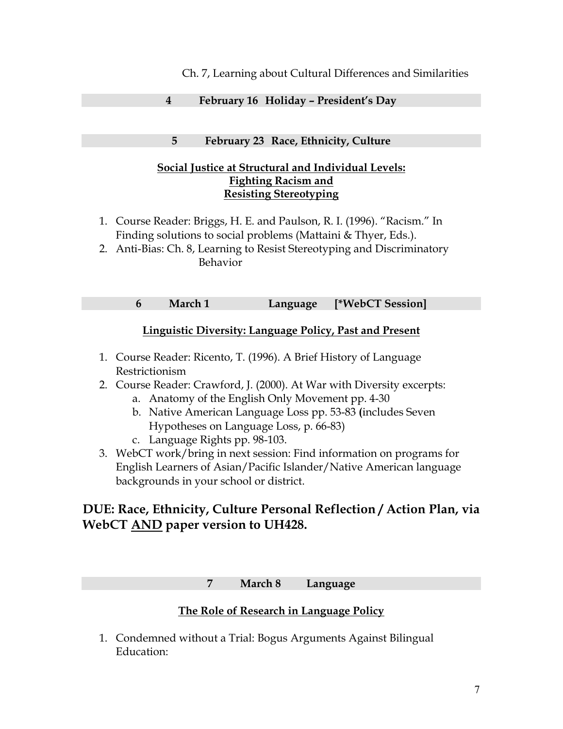#### Ch. 7, Learning about Cultural Differences and Similarities

#### **4 February 16 Holiday – President's Day**

#### **5 February 23 Race, Ethnicity, Culture**

#### **Social Justice at Structural and Individual Levels: Fighting Racism and Resisting Stereotyping**

- 1. Course Reader: Briggs, H. E. and Paulson, R. I. (1996). "Racism." In Finding solutions to social problems (Mattaini & Thyer, Eds.).
- 2. Anti-Bias: Ch. 8, Learning to Resist Stereotyping and Discriminatory Behavior

**6 March 1 Language [\*WebCT Session]** 

#### **Linguistic Diversity: Language Policy, Past and Present**

- 1. Course Reader: Ricento, T. (1996). A Brief History of Language Restrictionism
- 2. Course Reader: Crawford, J. (2000). At War with Diversity excerpts:
	- a. Anatomy of the English Only Movement pp. 4-30
	- b. Native American Language Loss pp. 53-83 **(**includes Seven Hypotheses on Language Loss, p. 66-83)
	- c. Language Rights pp. 98-103.
- 3. WebCT work/bring in next session: Find information on programs for English Learners of Asian/Pacific Islander/Native American language backgrounds in your school or district.

# **DUE: Race, Ethnicity, Culture Personal Reflection / Action Plan, via WebCT AND paper version to UH428.**

#### **7 March 8 Language**

### **The Role of Research in Language Policy**

1. Condemned without a Trial: Bogus Arguments Against Bilingual Education: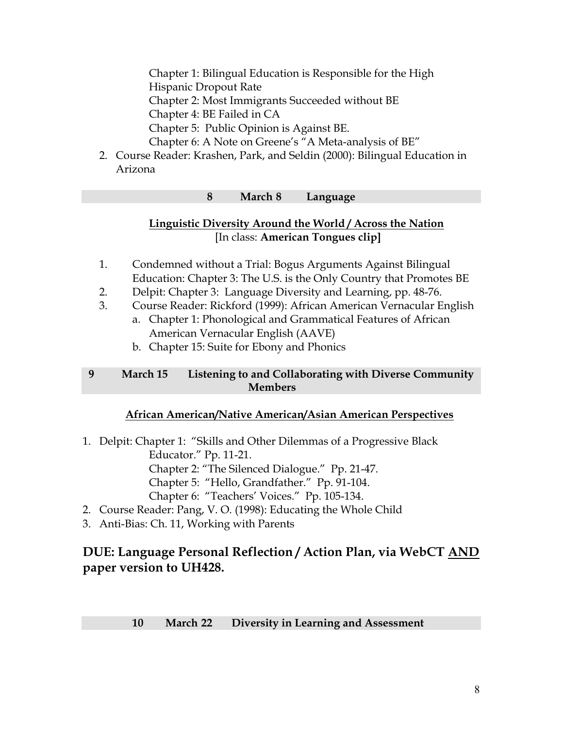Chapter 1: Bilingual Education is Responsible for the High

Hispanic Dropout Rate

Chapter 2: Most Immigrants Succeeded without BE

Chapter 4: BE Failed in CA

Chapter 5: Public Opinion is Against BE.

Chapter 6: A Note on Greene's "A Meta-analysis of BE"

2. Course Reader: Krashen, Park, and Seldin (2000): Bilingual Education in Arizona

#### **8 March 8 Language**

## **Linguistic Diversity Around the World / Across the Nation** [In class: **American Tongues clip]**

- 1. Condemned without a Trial: Bogus Arguments Against Bilingual Education: Chapter 3: The U.S. is the Only Country that Promotes BE
- 2. Delpit: Chapter 3: Language Diversity and Learning, pp. 48-76.
- 3. Course Reader: Rickford (1999): African American Vernacular English
	- a. Chapter 1: Phonological and Grammatical Features of African American Vernacular English (AAVE)
		- b. Chapter 15: Suite for Ebony and Phonics

### **9 March 15 Listening to and Collaborating with Diverse Community Members**

### **African American/Native American/Asian American Perspectives**

- 1. Delpit: Chapter 1: "Skills and Other Dilemmas of a Progressive Black Educator." Pp. 11-21. Chapter 2: "The Silenced Dialogue." Pp. 21-47. Chapter 5: "Hello, Grandfather." Pp. 91-104. Chapter 6: "Teachers' Voices." Pp. 105-134.
- 2. Course Reader: Pang, V. O. (1998): Educating the Whole Child
- 3. Anti-Bias: Ch. 11, Working with Parents

# **DUE: Language Personal Reflection / Action Plan, via WebCT AND paper version to UH428.**

### **10 March 22 Diversity in Learning and Assessment**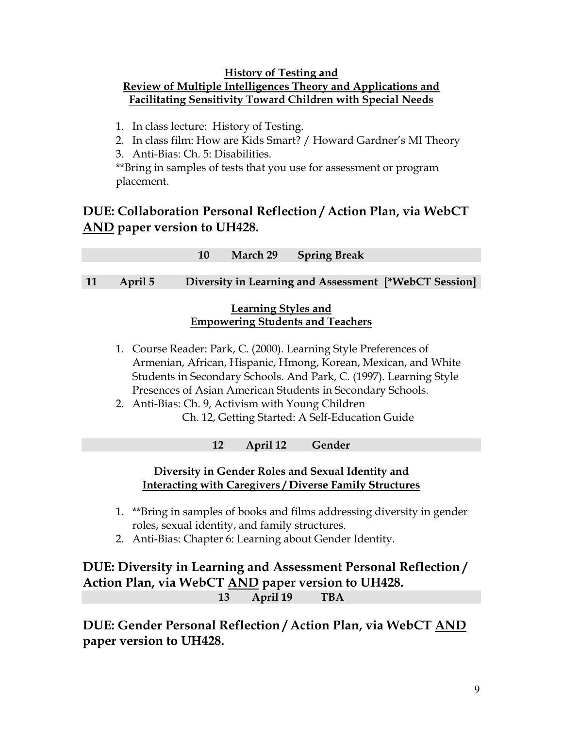#### **History of Testing and Review of Multiple Intelligences Theory and Applications and Facilitating Sensitivity Toward Children with Special Needs**

- 1. In class lecture: History of Testing.
- 2. In class film: How are Kids Smart? / Howard Gardner's MI Theory
- 3. Anti-Bias: Ch. 5: Disabilities.

\*\*Bring in samples of tests that you use for assessment or program placement.

# **DUE: Collaboration Personal Reflection / Action Plan, via WebCT AND paper version to UH428.**

|                                                                                                                                                                                                                                                                                                                                                                                |                                                                | 10 | March 29 | <b>Spring Break</b>                                   |  |  |  |  |
|--------------------------------------------------------------------------------------------------------------------------------------------------------------------------------------------------------------------------------------------------------------------------------------------------------------------------------------------------------------------------------|----------------------------------------------------------------|----|----------|-------------------------------------------------------|--|--|--|--|
|                                                                                                                                                                                                                                                                                                                                                                                |                                                                |    |          |                                                       |  |  |  |  |
| 11                                                                                                                                                                                                                                                                                                                                                                             | April 5                                                        |    |          | Diversity in Learning and Assessment [*WebCT Session] |  |  |  |  |
|                                                                                                                                                                                                                                                                                                                                                                                | Learning Styles and<br><b>Empowering Students and Teachers</b> |    |          |                                                       |  |  |  |  |
| 1. Course Reader: Park, C. (2000). Learning Style Preferences of<br>Armenian, African, Hispanic, Hmong, Korean, Mexican, and White<br>Students in Secondary Schools. And Park, C. (1997). Learning Style<br>Presences of Asian American Students in Secondary Schools.<br>2. Anti-Bias: Ch. 9, Activism with Young Children<br>Ch. 12, Getting Started: A Self-Education Guide |                                                                |    |          |                                                       |  |  |  |  |
|                                                                                                                                                                                                                                                                                                                                                                                |                                                                |    | April 12 | Gender                                                |  |  |  |  |

# **Diversity in Gender Roles and Sexual Identity and Interacting with Caregivers / Diverse Family Structures**

- 1. \*\*Bring in samples of books and films addressing diversity in gender roles, sexual identity, and family structures.
- 2. Anti-Bias: Chapter 6: Learning about Gender Identity.

# **DUE: Diversity in Learning and Assessment Personal Reflection / Action Plan, via WebCT AND paper version to UH428. 13 April 19 TBA**

**DUE: Gender Personal Reflection / Action Plan, via WebCT AND paper version to UH428.**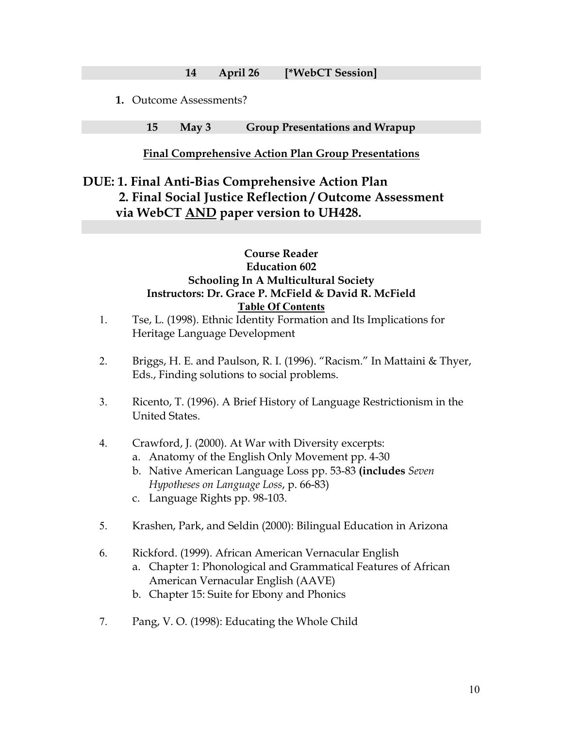**14 April 26 [\*WebCT Session]** 

**1.** Outcome Assessments?

**15 May 3 Group Presentations and Wrapup** 

#### **Final Comprehensive Action Plan Group Presentations**

# **DUE: 1. Final Anti-Bias Comprehensive Action Plan 2. Final Social Justice Reflection / Outcome Assessment via WebCT AND paper version to UH428.**

### **Course Reader Education 602 Schooling In A Multicultural Society Instructors: Dr. Grace P. McField & David R. McField Table Of Contents**

- 1. Tse, L. (1998). Ethnic Identity Formation and Its Implications for Heritage Language Development
- 2. Briggs, H. E. and Paulson, R. I. (1996). "Racism." In Mattaini & Thyer, Eds., Finding solutions to social problems.
- 3. Ricento, T. (1996). A Brief History of Language Restrictionism in the United States.
- 4. Crawford, J. (2000). At War with Diversity excerpts:
	- a. Anatomy of the English Only Movement pp. 4-30
	- b. Native American Language Loss pp. 53-83 **(includes** *Seven Hypotheses on Language Loss*, p. 66-83)
	- c. Language Rights pp. 98-103.
- 5. Krashen, Park, and Seldin (2000): Bilingual Education in Arizona
- 6. Rickford. (1999). African American Vernacular English
	- a. Chapter 1: Phonological and Grammatical Features of African American Vernacular English (AAVE)
	- b. Chapter 15: Suite for Ebony and Phonics
- 7. Pang, V. O. (1998): Educating the Whole Child